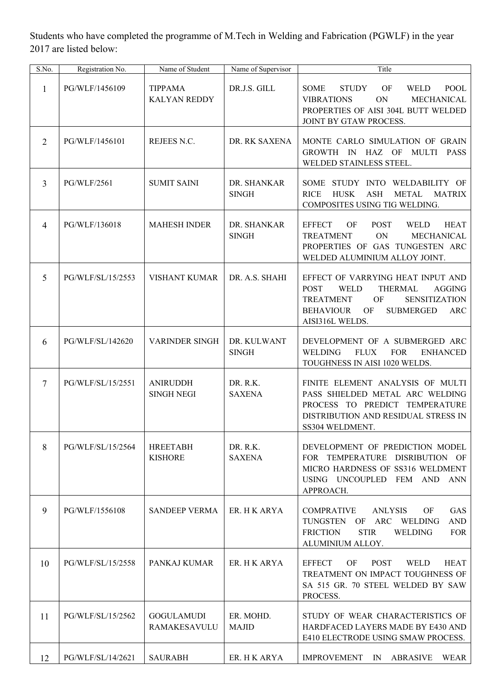Students who have completed the programme of M.Tech in Welding and Fabrication (PGWLF) in the year 2017 are listed below:

| S.No.          | Registration No.   | Name of Student                       | Name of Supervisor          | Title                                                                                                                                                                                                                        |
|----------------|--------------------|---------------------------------------|-----------------------------|------------------------------------------------------------------------------------------------------------------------------------------------------------------------------------------------------------------------------|
| 1              | PG/WLF/1456109     | <b>TIPPAMA</b><br><b>KALYAN REDDY</b> | DR.J.S. GILL                | <b>POOL</b><br><b>SOME</b><br><b>STUDY</b><br>OF<br><b>WELD</b><br>MECHANICAL<br><b>VIBRATIONS</b><br>ON<br>PROPERTIES OF AISI 304L BUTT WELDED<br>JOINT BY GTAW PROCESS.                                                    |
| $\overline{2}$ | PG/WLF/1456101     | REJEES N.C.                           | DR. RK SAXENA               | MONTE CARLO SIMULATION OF GRAIN<br>GROWTH IN HAZ OF<br>MULTI<br><b>PASS</b><br>WELDED STAINLESS STEEL.                                                                                                                       |
| $\overline{3}$ | <b>PG/WLF/2561</b> | <b>SUMIT SAINI</b>                    | DR. SHANKAR<br><b>SINGH</b> | SOME STUDY INTO WELDABILITY OF<br><b>HUSK</b><br><b>ASH</b><br><b>METAL</b><br><b>RICE</b><br><b>MATRIX</b><br>COMPOSITES USING TIG WELDING.                                                                                 |
| $\overline{4}$ | PG/WLF/136018      | <b>MAHESH INDER</b>                   | DR. SHANKAR<br><b>SINGH</b> | <b>EFFECT</b><br>OF<br><b>POST</b><br><b>WELD</b><br><b>HEAT</b><br>ON<br>MECHANICAL<br><b>TREATMENT</b><br>PROPERTIES OF GAS TUNGESTEN ARC<br>WELDED ALUMINIUM ALLOY JOINT.                                                 |
| 5              | PG/WLF/SL/15/2553  | <b>VISHANT KUMAR</b>                  | DR. A.S. SHAHI              | EFFECT OF VARRYING HEAT INPUT AND<br>THERMAL<br>AGGING<br><b>POST</b><br><b>WELD</b><br>OF<br><b>TREATMENT</b><br><b>SENSITIZATION</b><br><b>BEHAVIOUR</b><br><b>OF</b><br><b>SUBMERGED</b><br><b>ARC</b><br>AISI316L WELDS. |
| 6              | PG/WLF/SL/142620   | <b>VARINDER SINGH</b>                 | DR. KULWANT<br><b>SINGH</b> | DEVELOPMENT OF A SUBMERGED ARC<br><b>WELDING</b><br><b>FLUX</b><br><b>FOR</b><br><b>ENHANCED</b><br>TOUGHNESS IN AISI 1020 WELDS.                                                                                            |
| $\overline{7}$ | PG/WLF/SL/15/2551  | <b>ANIRUDDH</b><br><b>SINGH NEGI</b>  | DR. R.K.<br><b>SAXENA</b>   | FINITE ELEMENT ANALYSIS OF MULTI<br>PASS SHIELDED METAL ARC WELDING<br>PROCESS TO PREDICT TEMPERATURE<br>DISTRIBUTION AND RESIDUAL STRESS IN<br>SS304 WELDMENT.                                                              |
| 8              | PG/WLF/SL/15/2564  | <b>HREETABH</b><br><b>KISHORE</b>     | DR. R.K.<br><b>SAXENA</b>   | DEVELOPMENT OF PREDICTION MODEL<br>FOR TEMPERATURE DISRIBUTION OF<br>MICRO HARDNESS OF SS316 WELDMENT<br>USING UNCOUPLED FEM AND ANN<br>APPROACH.                                                                            |
| 9              | PG/WLF/1556108     | <b>SANDEEP VERMA</b>                  | ER. H K ARYA                | <b>GAS</b><br><b>COMPRATIVE</b><br><b>ANLYSIS</b><br>OF<br>ARC WELDING<br>TUNGSTEN OF<br><b>AND</b><br><b>FRICTION</b><br><b>STIR</b><br><b>WELDING</b><br><b>FOR</b><br>ALUMINIUM ALLOY.                                    |
| 10             | PG/WLF/SL/15/2558  | PANKAJ KUMAR                          | ER. H K ARYA                | <b>EFFECT</b><br>OF<br><b>POST</b><br><b>WELD</b><br><b>HEAT</b><br>TREATMENT ON IMPACT TOUGHNESS OF<br>SA 515 GR. 70 STEEL WELDED BY SAW<br>PROCESS.                                                                        |
| 11             | PG/WLF/SL/15/2562  | <b>GOGULAMUDI</b><br>RAMAKESAVULU     | ER. MOHD.<br><b>MAJID</b>   | STUDY OF WEAR CHARACTERISTICS OF<br>HARDFACED LAYERS MADE BY E430 AND<br>E410 ELECTRODE USING SMAW PROCESS.                                                                                                                  |
| 12             | PG/WLF/SL/14/2621  | <b>SAURABH</b>                        | ER. H K ARYA                | IMPROVEMENT IN<br>ABRASIVE<br>WEAR                                                                                                                                                                                           |